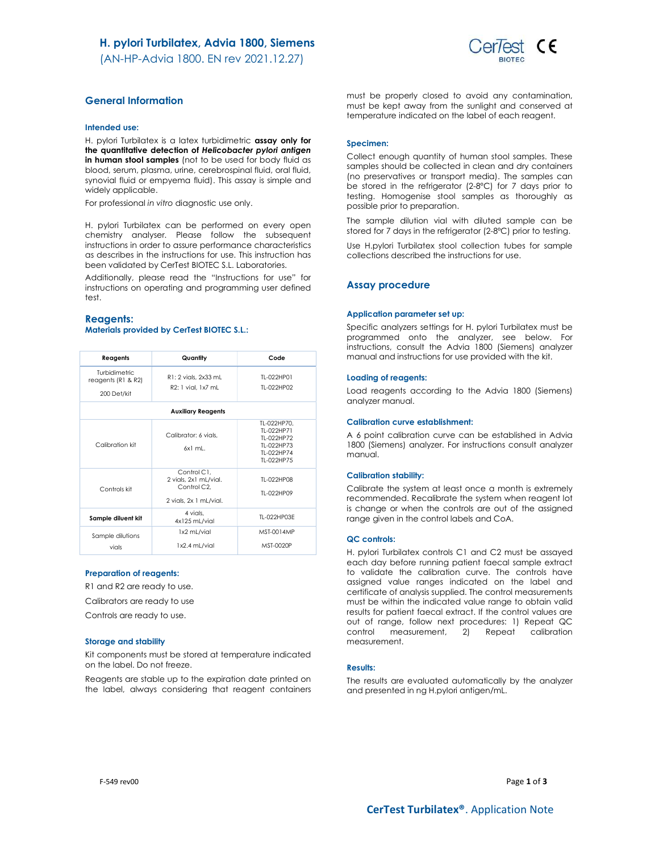(AN-HP-Advia 1800. EN rev 2021.12.27)



# General Information

#### Intended use:

H. pylori Turbilatex is a latex turbidimetric assay only for the quantitative detection of Helicobacter pylori antigen in human stool samples (not to be used for body fluid as blood, serum, plasma, urine, cerebrospinal fluid, oral fluid, synovial fluid or empyema fluid). This assay is simple and widely applicable.

For professional in vitro diagnostic use only.

H. pylori Turbilatex can be performed on every open chemistry analyser. Please follow the subsequent instructions in order to assure performance characteristics as describes in the instructions for use. This instruction has been validated by CerTest BIOTEC S.L. Laboratories.

Additionally, please read the "Instructions for use" for instructions on operating and programming user defined test.

### Reagents: Materials provided by CerTest BIOTEC S.L.:

| Reagents                                           | Quantity                                                                      | Code                                                                              |  |  |
|----------------------------------------------------|-------------------------------------------------------------------------------|-----------------------------------------------------------------------------------|--|--|
| Turbidimetric<br>reagents (R1 & R2)<br>200 Det/kit | R1: 2 vials, 2x33 mL<br>R2: 1 vial, 1x7 mL                                    | TI-022HP01<br>TI-022HP02                                                          |  |  |
| <b>Auxiliary Reagents</b>                          |                                                                               |                                                                                   |  |  |
| Calibration kit                                    | Calibrator: 6 vials.<br>$6x1$ ml.                                             | TL-022HP70.<br>TI-022HP71<br>TI-022HP72<br>TI-022HP73<br>TI-022HP74<br>TI-022HP75 |  |  |
| Controls kit                                       | Control C1.<br>2 vials, 2x1 mL/vial.<br>Control C2.<br>2 vials, 2x 1 mL/vial. | TI-022HP08<br>TI-022HP09                                                          |  |  |
| Sample diluent kit                                 | 4 vials.<br>4x125 mL/vial                                                     | TL-022HP03E                                                                       |  |  |
| Sample dilutions<br>vials                          | 1x2 mL/vial<br>1x2.4 mL/vial                                                  | MST-0014MP<br>MST-0020P                                                           |  |  |

### Preparation of reagents:

R1 and R2 are ready to use.

Calibrators are ready to use

Controls are ready to use.

#### Storage and stability

Kit components must be stored at temperature indicated on the label. Do not freeze.

Reagents are stable up to the expiration date printed on the label, always considering that reagent containers must be properly closed to avoid any contamination, must be kept away from the sunlight and conserved at temperature indicated on the label of each reagent.

#### Specimen:

Collect enough quantity of human stool samples. These samples should be collected in clean and dry containers (no preservatives or transport media). The samples can be stored in the refrigerator (2-8ºC) for 7 days prior to testing. Homogenise stool samples as thoroughly as possible prior to preparation.

The sample dilution vial with diluted sample can be stored for 7 days in the refrigerator (2-8ºC) prior to testing.

Use H.pylori Turbilatex stool collection tubes for sample collections described the instructions for use.

### Assay procedure

#### Application parameter set up:

Specific analyzers settings for H. pylori Turbilatex must be programmed onto the analyzer, see below. For instructions, consult the Advia 1800 (Siemens) analyzer manual and instructions for use provided with the kit.

#### Loading of reagents:

Load reagents according to the Advia 1800 (Siemens) analyzer manual.

#### Calibration curve establishment:

A 6 point calibration curve can be established in Advia 1800 (Siemens) analyzer. For instructions consult analyzer manual.

#### Calibration stability:

Calibrate the system at least once a month is extremely recommended. Recalibrate the system when reagent lot is change or when the controls are out of the assigned range given in the control labels and CoA.

#### QC controls:

H. pylori Turbilatex controls C1 and C2 must be assayed each day before running patient faecal sample extract to validate the calibration curve. The controls have assigned value ranges indicated on the label and certificate of analysis supplied. The control measurements must be within the indicated value range to obtain valid results for patient faecal extract. If the control values are out of range, follow next procedures: 1) Repeat QC control measurement, 2) Repeat calibration measurement.

### Results:

The results are evaluated automatically by the analyzer and presented in ng H.pylori antigen/mL.

F-549 rev00  $Page 1 of 3$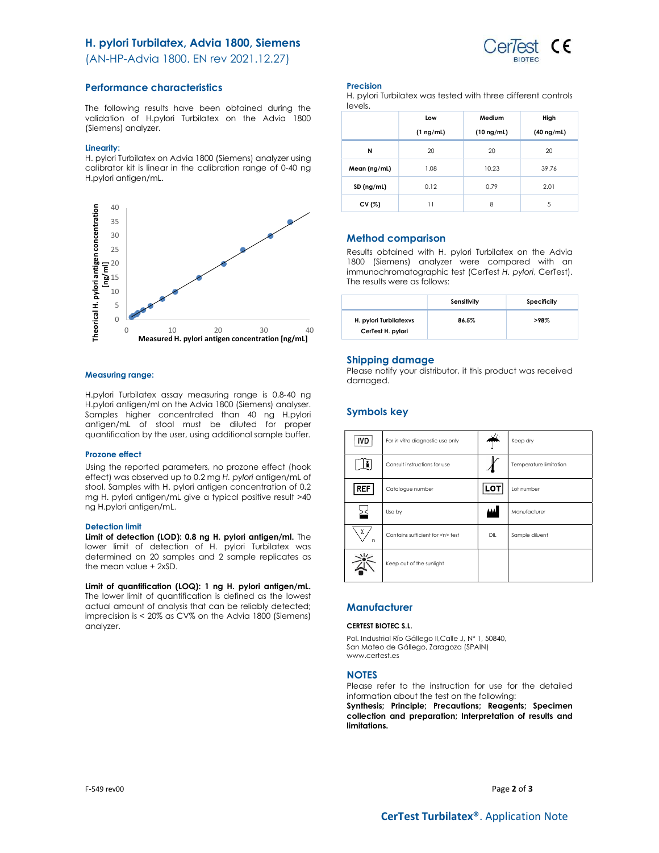## H. pylori Turbilatex, Advia 1800, Siemens



(AN-HP-Advia 1800. EN rev 2021.12.27)

### Performance characteristics

The following results have been obtained during the validation of H.pylori Turbilatex on the Advia 1800 (Siemens) analyzer.

### Linearity:

H. pylori Turbilatex on Advia 1800 (Siemens) analyzer using calibrator kit is linear in the calibration range of 0-40 ng H.pylori antigen/mL.



### Measuring range:

H.pylori Turbilatex assay measuring range is 0.8-40 ng H.pylori antigen/ml on the Advia 1800 (Siemens) analyser. Samples higher concentrated than 40 ng H.pylori antigen/mL of stool must be diluted for proper quantification by the user, using additional sample buffer.

#### Prozone effect

Using the reported parameters, no prozone effect (hook effect) was observed up to 0.2 mg H. pylori antigen/mL of stool. Samples with H. pylori antigen concentration of 0.2 mg H. pylori antigen/mL give a typical positive result >40 ng H.pylori antigen/mL.

#### Detection limit

Limit of detection (LOD): 0.8 ng H. pylori antigen/ml. The lower limit of detection of H. pylori Turbilatex was determined on 20 samples and 2 sample replicates as the mean value + 2xSD.

Limit of quantification (LOQ): 1 ng H. pylori antigen/mL. The lower limit of quantification is defined as the lowest actual amount of analysis that can be reliably detected; imprecision is < 20% as CV% on the Advia 1800 (Siemens) analyzer.

### Precision

H. pylori Turbilatex was tested with three different controls levels.

|              | Low            | Medium          | High            |
|--------------|----------------|-----------------|-----------------|
|              | $(1 \nmid mL)$ | $(10 \nmid mL)$ | $(40 \nmid mL)$ |
| N            | 20             | 20              | 20              |
| Mean (ng/mL) | 1.08           | 10.23           | 39.76           |
| SD (ng/ml)   | 0.12           | 0.79            | 2.01            |
| CV (%)       | 11             | 8               | 5               |

### Method comparison

Results obtained with H. pylori Turbilatex on the Advia 1800 (Siemens) analyzer were compared with an immunochromatographic test (CerTest H. pylori, CerTest). The results were as follows:

|                                             | Sensitivity | Specificity |
|---------------------------------------------|-------------|-------------|
| H. pylori Turbilatexys<br>CerTest H. pylori | 86.5%       | >98%        |

### Shipping damage

Please notify your distributor, it this product was received damaged.

# Symbols key

| <b>IVD</b> | For in vitro diagnostic use only     | A.  | Keep dry               |
|------------|--------------------------------------|-----|------------------------|
|            | Consult instructions for use         |     | Temperature limitation |
| <b>REF</b> | Catalogue number                     | LO1 | Lot number             |
|            | Use by                               |     | Manufacturer           |
| Σ<br>n     | Contains sufficient for <n> test</n> | DIL | Sample diluent         |
|            | Keep out of the sunlight             |     |                        |

# **Manufacturer**

### CERTEST BIOTEC S.L.

Pol. Industrial Río Gállego II,Calle J, Nº 1, 50840, San Mateo de Gállego, Zaragoza (SPAIN) www.certest.es

### **NOTES**

Please refer to the instruction for use for the detailed information about the test on the following:

Synthesis; Principle; Precautions; Reagents; Specimen collection and preparation; Interpretation of results and limitations.

F-549 rev00  $Page 2 of 3$